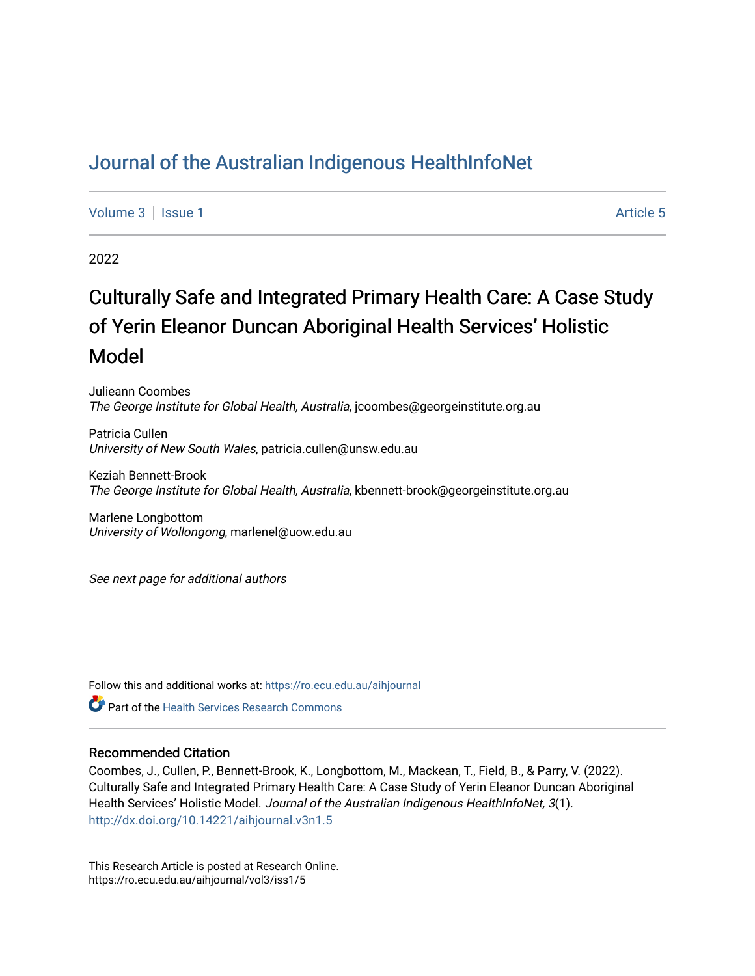# [Journal of the Australian Indigenous HealthInfoNet](https://ro.ecu.edu.au/aihjournal)

[Volume 3](https://ro.ecu.edu.au/aihjournal/vol3) | [Issue 1](https://ro.ecu.edu.au/aihjournal/vol3/iss1) Article 5

2022

# Culturally Safe and Integrated Primary Health Care: A Case Study of Yerin Eleanor Duncan Aboriginal Health Services' Holistic Model

Julieann Coombes The George Institute for Global Health, Australia, jcoombes@georgeinstitute.org.au

Patricia Cullen University of New South Wales, patricia.cullen@unsw.edu.au

Keziah Bennett-Brook The George Institute for Global Health, Australia, kbennett-brook@georgeinstitute.org.au

Marlene Longbottom University of Wollongong, marlenel@uow.edu.au

See next page for additional authors

Follow this and additional works at: [https://ro.ecu.edu.au/aihjournal](https://ro.ecu.edu.au/aihjournal?utm_source=ro.ecu.edu.au%2Faihjournal%2Fvol3%2Fiss1%2F5&utm_medium=PDF&utm_campaign=PDFCoverPages) 

**C**<sup> $\bullet$ </sup> Part of the Health Services Research Commons

#### Recommended Citation

Coombes, J., Cullen, P., Bennett-Brook, K., Longbottom, M., Mackean, T., Field, B., & Parry, V. (2022). Culturally Safe and Integrated Primary Health Care: A Case Study of Yerin Eleanor Duncan Aboriginal Health Services' Holistic Model. Journal of the Australian Indigenous HealthInfoNet, 3(1). <http://dx.doi.org/10.14221/aihjournal.v3n1.5>

This Research Article is posted at Research Online. https://ro.ecu.edu.au/aihjournal/vol3/iss1/5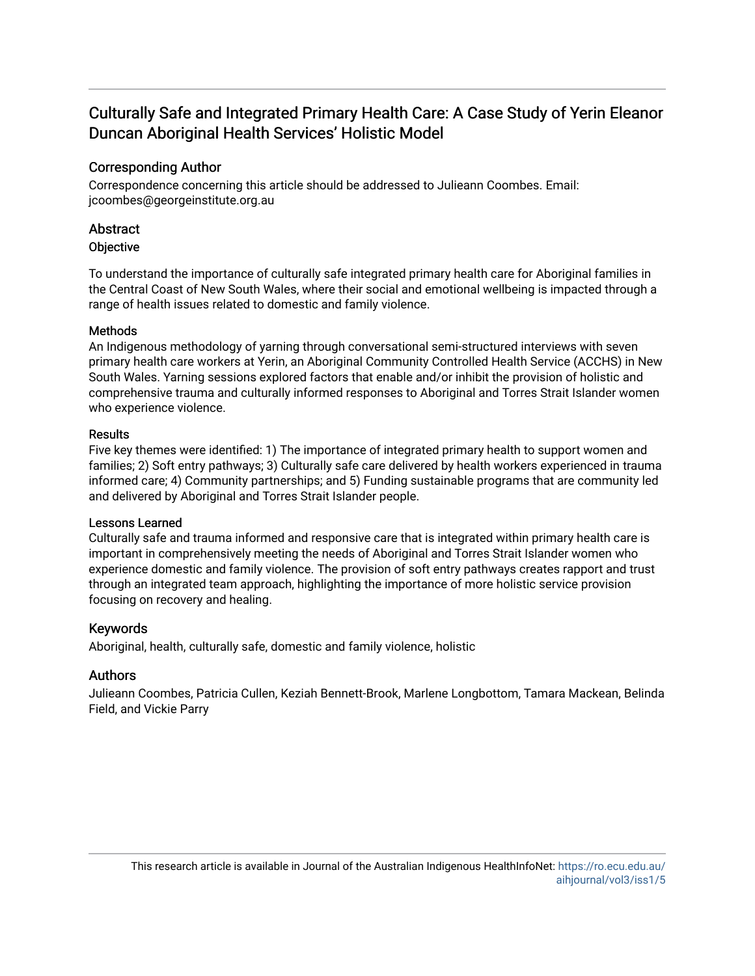# Culturally Safe and Integrated Primary Health Care: A Case Study of Yerin Eleanor Duncan Aboriginal Health Services' Holistic Model

# Corresponding Author

Correspondence concerning this article should be addressed to Julieann Coombes. Email: jcoombes@georgeinstitute.org.au

# **Abstract**

# **Objective**

To understand the importance of culturally safe integrated primary health care for Aboriginal families in the Central Coast of New South Wales, where their social and emotional wellbeing is impacted through a range of health issues related to domestic and family violence.

# Methods

An Indigenous methodology of yarning through conversational semi-structured interviews with seven primary health care workers at Yerin, an Aboriginal Community Controlled Health Service (ACCHS) in New South Wales. Yarning sessions explored factors that enable and/or inhibit the provision of holistic and comprehensive trauma and culturally informed responses to Aboriginal and Torres Strait Islander women who experience violence.

# Results

Five key themes were identified: 1) The importance of integrated primary health to support women and families; 2) Soft entry pathways; 3) Culturally safe care delivered by health workers experienced in trauma informed care; 4) Community partnerships; and 5) Funding sustainable programs that are community led and delivered by Aboriginal and Torres Strait Islander people.

## Lessons Learned

Culturally safe and trauma informed and responsive care that is integrated within primary health care is important in comprehensively meeting the needs of Aboriginal and Torres Strait Islander women who experience domestic and family violence. The provision of soft entry pathways creates rapport and trust through an integrated team approach, highlighting the importance of more holistic service provision focusing on recovery and healing.

# Keywords

Aboriginal, health, culturally safe, domestic and family violence, holistic

# Authors

Julieann Coombes, Patricia Cullen, Keziah Bennett-Brook, Marlene Longbottom, Tamara Mackean, Belinda Field, and Vickie Parry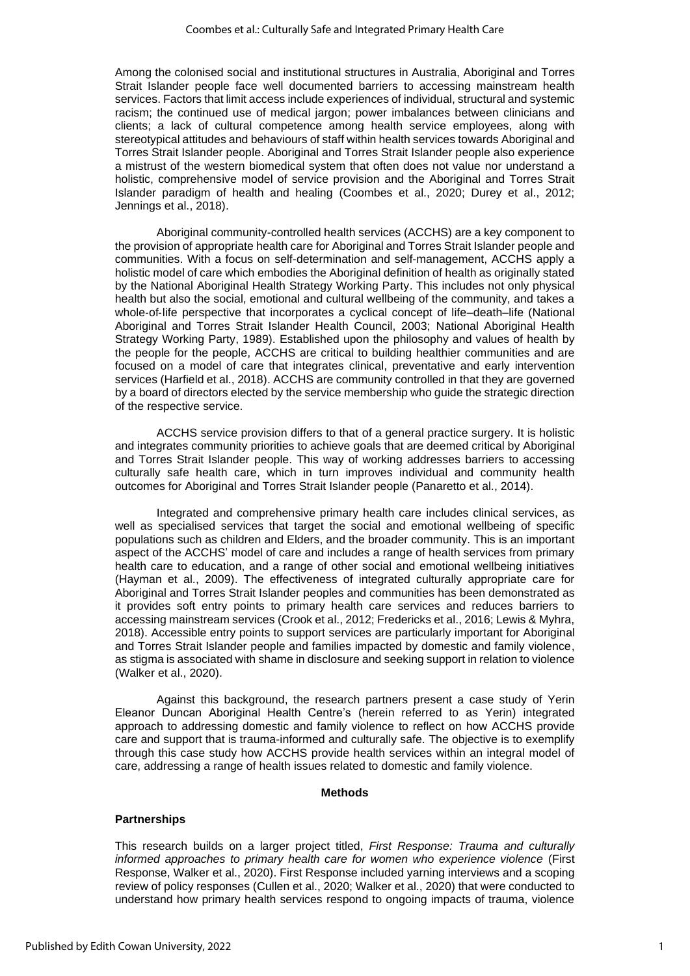Among the colonised social and institutional structures in Australia, Aboriginal and Torres Strait Islander people face well documented barriers to accessing mainstream health services. Factors that limit access include experiences of individual, structural and systemic racism; the continued use of medical jargon; power imbalances between clinicians and clients; a lack of cultural competence among health service employees, along with stereotypical attitudes and behaviours of staff within health services towards Aboriginal and Torres Strait Islander people. Aboriginal and Torres Strait Islander people also experience a mistrust of the western biomedical system that often does not value nor understand a holistic, comprehensive model of service provision and the Aboriginal and Torres Strait Islander paradigm of health and healing (Coombes et al., 2020; Durey et al., 2012; Jennings et al., 2018).

Aboriginal community-controlled health services (ACCHS) are a key component to the provision of appropriate health care for Aboriginal and Torres Strait Islander people and communities. With a focus on self-determination and self-management, ACCHS apply a holistic model of care which embodies the Aboriginal definition of health as originally stated by the National Aboriginal Health Strategy Working Party. This includes not only physical health but also the social, emotional and cultural wellbeing of the community, and takes a whole-of-life perspective that incorporates a cyclical concept of life–death–life (National Aboriginal and Torres Strait Islander Health Council, 2003; National Aboriginal Health Strategy Working Party, 1989). Established upon the philosophy and values of health by the people for the people, ACCHS are critical to building healthier communities and are focused on a model of care that integrates clinical, preventative and early intervention services (Harfield et al., 2018). ACCHS are community controlled in that they are governed by a board of directors elected by the service membership who guide the strategic direction of the respective service.

ACCHS service provision differs to that of a general practice surgery. It is holistic and integrates community priorities to achieve goals that are deemed critical by Aboriginal and Torres Strait Islander people. This way of working addresses barriers to accessing culturally safe health care, which in turn improves individual and community health outcomes for Aboriginal and Torres Strait Islander people (Panaretto et al., 2014).

Integrated and comprehensive primary health care includes clinical services, as well as specialised services that target the social and emotional wellbeing of specific populations such as children and Elders, and the broader community. This is an important aspect of the ACCHS' model of care and includes a range of health services from primary health care to education, and a range of other social and emotional wellbeing initiatives (Hayman et al., 2009). The effectiveness of integrated culturally appropriate care for Aboriginal and Torres Strait Islander peoples and communities has been demonstrated as it provides soft entry points to primary health care services and reduces barriers to accessing mainstream services (Crook et al., 2012; Fredericks et al., 2016; Lewis & Myhra, 2018). Accessible entry points to support services are particularly important for Aboriginal and Torres Strait Islander people and families impacted by domestic and family violence, as stigma is associated with shame in disclosure and seeking support in relation to violence (Walker et al., 2020).

Against this background, the research partners present a case study of Yerin Eleanor Duncan Aboriginal Health Centre's (herein referred to as Yerin) integrated approach to addressing domestic and family violence to reflect on how ACCHS provide care and support that is trauma-informed and culturally safe. The objective is to exemplify through this case study how ACCHS provide health services within an integral model of care, addressing a range of health issues related to domestic and family violence.

#### **Methods**

#### **Partnerships**

This research builds on a larger project titled, *First Response: Trauma and culturally informed approaches to primary health care for women who experience violence* (First Response, Walker et al., 2020). First Response included yarning interviews and a scoping review of policy responses (Cullen et al., 2020; Walker et al., 2020) that were conducted to understand how primary health services respond to ongoing impacts of trauma, violence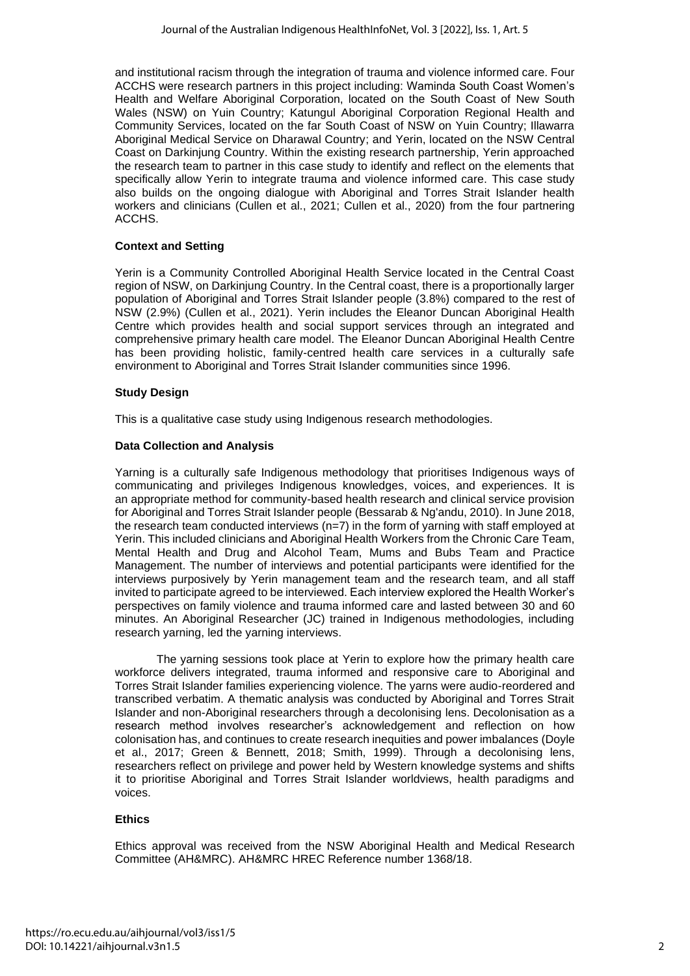and institutional racism through the integration of trauma and violence informed care. Four ACCHS were research partners in this project including: Waminda South Coast Women's Health and Welfare Aboriginal Corporation, located on the South Coast of New South Wales (NSW) on Yuin Country; Katungul Aboriginal Corporation Regional Health and Community Services, located on the far South Coast of NSW on Yuin Country; Illawarra Aboriginal Medical Service on Dharawal Country; and Yerin, located on the NSW Central Coast on Darkinjung Country. Within the existing research partnership, Yerin approached the research team to partner in this case study to identify and reflect on the elements that specifically allow Yerin to integrate trauma and violence informed care. This case study also builds on the ongoing dialogue with Aboriginal and Torres Strait Islander health workers and clinicians (Cullen et al., 2021; Cullen et al., 2020) from the four partnering ACCHS.

### **Context and Setting**

Yerin is a Community Controlled Aboriginal Health Service located in the Central Coast region of NSW, on Darkinjung Country. In the Central coast, there is a proportionally larger population of Aboriginal and Torres Strait Islander people (3.8%) compared to the rest of NSW (2.9%) (Cullen et al., 2021). Yerin includes the Eleanor Duncan Aboriginal Health Centre which provides health and social support services through an integrated and comprehensive primary health care model. The Eleanor Duncan Aboriginal Health Centre has been providing holistic, family-centred health care services in a culturally safe environment to Aboriginal and Torres Strait Islander communities since 1996.

## **Study Design**

This is a qualitative case study using Indigenous research methodologies.

#### **Data Collection and Analysis**

Yarning is a culturally safe Indigenous methodology that prioritises Indigenous ways of communicating and privileges Indigenous knowledges, voices, and experiences. It is an appropriate method for community-based health research and clinical service provision for Aboriginal and Torres Strait Islander people (Bessarab & Ng'andu, 2010). In June 2018, the research team conducted interviews (n=7) in the form of yarning with staff emploved at Yerin. This included clinicians and Aboriginal Health Workers from the Chronic Care Team, Mental Health and Drug and Alcohol Team, Mums and Bubs Team and Practice Management. The number of interviews and potential participants were identified for the interviews purposively by Yerin management team and the research team, and all staff invited to participate agreed to be interviewed. Each interview explored the Health Worker's perspectives on family violence and trauma informed care and lasted between 30 and 60 minutes. An Aboriginal Researcher (JC) trained in Indigenous methodologies, including research yarning, led the yarning interviews.

The yarning sessions took place at Yerin to explore how the primary health care workforce delivers integrated, trauma informed and responsive care to Aboriginal and Torres Strait Islander families experiencing violence. The yarns were audio-reordered and transcribed verbatim. A thematic analysis was conducted by Aboriginal and Torres Strait Islander and non-Aboriginal researchers through a decolonising lens. Decolonisation as a research method involves researcher's acknowledgement and reflection on how colonisation has, and continues to create research inequities and power imbalances (Doyle et al., 2017; Green & Bennett, 2018; Smith, 1999). Through a decolonising lens, researchers reflect on privilege and power held by Western knowledge systems and shifts it to prioritise Aboriginal and Torres Strait Islander worldviews, health paradigms and voices.

#### **Ethics**

Ethics approval was received from the NSW Aboriginal Health and Medical Research Committee (AH&MRC). AH&MRC HREC Reference number 1368/18.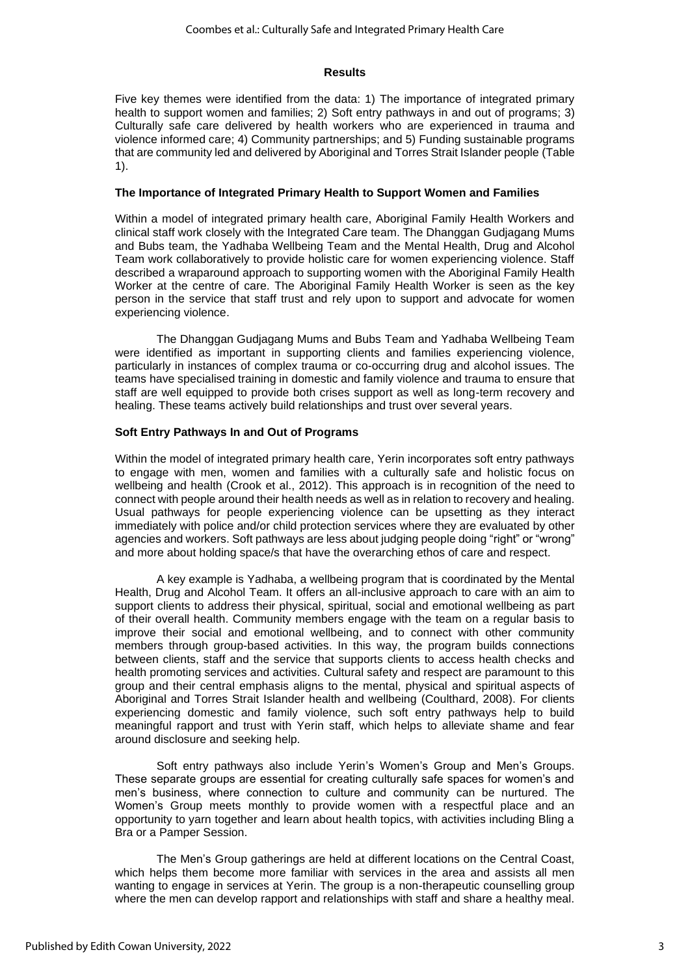#### **Results**

Five key themes were identified from the data: 1) The importance of integrated primary health to support women and families; 2) Soft entry pathways in and out of programs; 3) Culturally safe care delivered by health workers who are experienced in trauma and violence informed care; 4) Community partnerships; and 5) Funding sustainable programs that are community led and delivered by Aboriginal and Torres Strait Islander people (Table 1).

#### **The Importance of Integrated Primary Health to Support Women and Families**

Within a model of integrated primary health care, Aboriginal Family Health Workers and clinical staff work closely with the Integrated Care team. The Dhanggan Gudjagang Mums and Bubs team, the Yadhaba Wellbeing Team and the Mental Health, Drug and Alcohol Team work collaboratively to provide holistic care for women experiencing violence. Staff described a wraparound approach to supporting women with the Aboriginal Family Health Worker at the centre of care. The Aboriginal Family Health Worker is seen as the key person in the service that staff trust and rely upon to support and advocate for women experiencing violence.

The Dhanggan Gudjagang Mums and Bubs Team and Yadhaba Wellbeing Team were identified as important in supporting clients and families experiencing violence, particularly in instances of complex trauma or co-occurring drug and alcohol issues. The teams have specialised training in domestic and family violence and trauma to ensure that staff are well equipped to provide both crises support as well as long-term recovery and healing. These teams actively build relationships and trust over several years.

#### **Soft Entry Pathways In and Out of Programs**

Within the model of integrated primary health care, Yerin incorporates soft entry pathways to engage with men, women and families with a culturally safe and holistic focus on wellbeing and health (Crook et al., 2012). This approach is in recognition of the need to connect with people around their health needs as well as in relation to recovery and healing. Usual pathways for people experiencing violence can be upsetting as they interact immediately with police and/or child protection services where they are evaluated by other agencies and workers. Soft pathways are less about judging people doing "right" or "wrong" and more about holding space/s that have the overarching ethos of care and respect.

A key example is Yadhaba, a wellbeing program that is coordinated by the Mental Health, Drug and Alcohol Team. It offers an all-inclusive approach to care with an aim to support clients to address their physical, spiritual, social and emotional wellbeing as part of their overall health. Community members engage with the team on a regular basis to improve their social and emotional wellbeing, and to connect with other community members through group-based activities. In this way, the program builds connections between clients, staff and the service that supports clients to access health checks and health promoting services and activities. Cultural safety and respect are paramount to this group and their central emphasis aligns to the mental, physical and spiritual aspects of Aboriginal and Torres Strait Islander health and wellbeing (Coulthard, 2008). For clients experiencing domestic and family violence, such soft entry pathways help to build meaningful rapport and trust with Yerin staff, which helps to alleviate shame and fear around disclosure and seeking help.

Soft entry pathways also include Yerin's Women's Group and Men's Groups. These separate groups are essential for creating culturally safe spaces for women's and men's business, where connection to culture and community can be nurtured. The Women's Group meets monthly to provide women with a respectful place and an opportunity to yarn together and learn about health topics, with activities including Bling a Bra or a Pamper Session.

The Men's Group gatherings are held at different locations on the Central Coast, which helps them become more familiar with services in the area and assists all men wanting to engage in services at Yerin. The group is a non-therapeutic counselling group where the men can develop rapport and relationships with staff and share a healthy meal.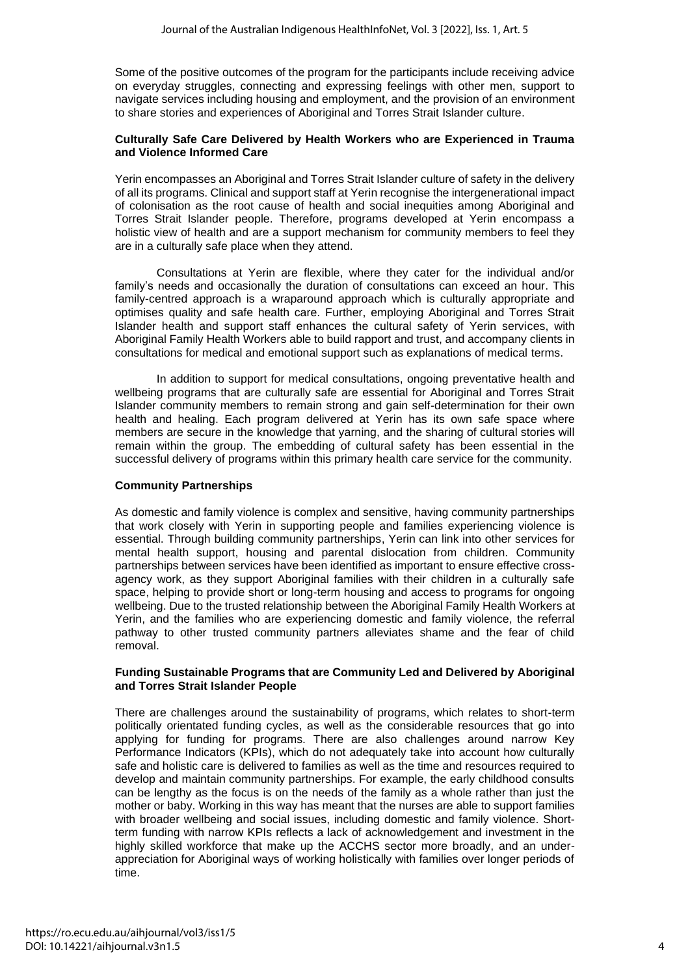Some of the positive outcomes of the program for the participants include receiving advice on everyday struggles, connecting and expressing feelings with other men, support to navigate services including housing and employment, and the provision of an environment to share stories and experiences of Aboriginal and Torres Strait Islander culture.

#### **Culturally Safe Care Delivered by Health Workers who are Experienced in Trauma and Violence Informed Care**

Yerin encompasses an Aboriginal and Torres Strait Islander culture of safety in the delivery of all its programs. Clinical and support staff at Yerin recognise the intergenerational impact of colonisation as the root cause of health and social inequities among Aboriginal and Torres Strait Islander people. Therefore, programs developed at Yerin encompass a holistic view of health and are a support mechanism for community members to feel they are in a culturally safe place when they attend.

Consultations at Yerin are flexible, where they cater for the individual and/or family's needs and occasionally the duration of consultations can exceed an hour. This family-centred approach is a wraparound approach which is culturally appropriate and optimises quality and safe health care. Further, employing Aboriginal and Torres Strait Islander health and support staff enhances the cultural safety of Yerin services, with Aboriginal Family Health Workers able to build rapport and trust, and accompany clients in consultations for medical and emotional support such as explanations of medical terms.

In addition to support for medical consultations, ongoing preventative health and wellbeing programs that are culturally safe are essential for Aboriginal and Torres Strait Islander community members to remain strong and gain self-determination for their own health and healing. Each program delivered at Yerin has its own safe space where members are secure in the knowledge that yarning, and the sharing of cultural stories will remain within the group. The embedding of cultural safety has been essential in the successful delivery of programs within this primary health care service for the community.

### **Community Partnerships**

As domestic and family violence is complex and sensitive, having community partnerships that work closely with Yerin in supporting people and families experiencing violence is essential. Through building community partnerships, Yerin can link into other services for mental health support, housing and parental dislocation from children. Community partnerships between services have been identified as important to ensure effective crossagency work, as they support Aboriginal families with their children in a culturally safe space, helping to provide short or long-term housing and access to programs for ongoing wellbeing. Due to the trusted relationship between the Aboriginal Family Health Workers at Yerin, and the families who are experiencing domestic and family violence, the referral pathway to other trusted community partners alleviates shame and the fear of child removal.

#### **Funding Sustainable Programs that are Community Led and Delivered by Aboriginal and Torres Strait Islander People**

There are challenges around the sustainability of programs, which relates to short-term politically orientated funding cycles, as well as the considerable resources that go into applying for funding for programs. There are also challenges around narrow Key Performance Indicators (KPIs), which do not adequately take into account how culturally safe and holistic care is delivered to families as well as the time and resources required to develop and maintain community partnerships. For example, the early childhood consults can be lengthy as the focus is on the needs of the family as a whole rather than just the mother or baby. Working in this way has meant that the nurses are able to support families with broader wellbeing and social issues, including domestic and family violence. Shortterm funding with narrow KPIs reflects a lack of acknowledgement and investment in the highly skilled workforce that make up the ACCHS sector more broadly, and an underappreciation for Aboriginal ways of working holistically with families over longer periods of time.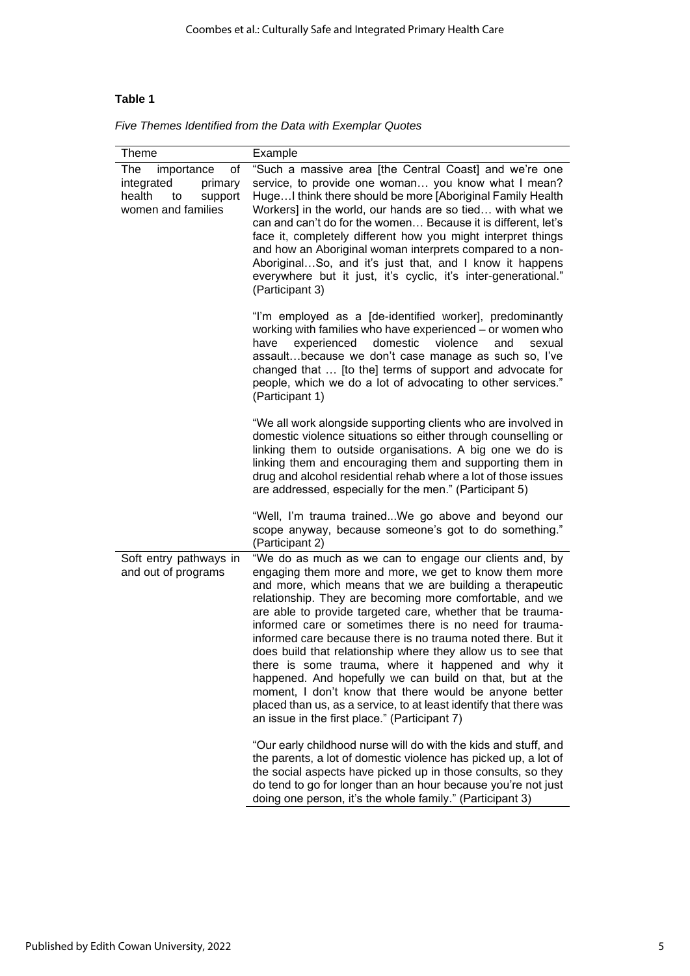# **Table 1**

|  |  |  |  |  |  | Five Themes Identified from the Data with Exemplar Quotes |  |
|--|--|--|--|--|--|-----------------------------------------------------------|--|
|--|--|--|--|--|--|-----------------------------------------------------------|--|

| <b>Theme</b>                                                                                      | Example                                                                                                                                                                                                                                                                                                                                                                                                                                                                                                                                                                                                                                                                                                                                                                                            |  |  |  |
|---------------------------------------------------------------------------------------------------|----------------------------------------------------------------------------------------------------------------------------------------------------------------------------------------------------------------------------------------------------------------------------------------------------------------------------------------------------------------------------------------------------------------------------------------------------------------------------------------------------------------------------------------------------------------------------------------------------------------------------------------------------------------------------------------------------------------------------------------------------------------------------------------------------|--|--|--|
| The<br>οf<br>importance<br>integrated<br>primary<br>health<br>support<br>to<br>women and families | "Such a massive area [the Central Coast] and we're one<br>service, to provide one woman you know what I mean?<br>HugeI think there should be more [Aboriginal Family Health<br>Workers] in the world, our hands are so tied with what we<br>can and can't do for the women Because it is different, let's<br>face it, completely different how you might interpret things<br>and how an Aboriginal woman interprets compared to a non-<br>AboriginalSo, and it's just that, and I know it happens<br>everywhere but it just, it's cyclic, it's inter-generational."<br>(Participant 3)                                                                                                                                                                                                             |  |  |  |
|                                                                                                   | "I'm employed as a [de-identified worker], predominantly<br>working with families who have experienced - or women who<br>domestic<br>violence<br>experienced<br>and<br>sexual<br>have<br>assaultbecause we don't case manage as such so, I've<br>changed that  [to the] terms of support and advocate for<br>people, which we do a lot of advocating to other services."<br>(Participant 1)                                                                                                                                                                                                                                                                                                                                                                                                        |  |  |  |
|                                                                                                   | "We all work alongside supporting clients who are involved in<br>domestic violence situations so either through counselling or<br>linking them to outside organisations. A big one we do is<br>linking them and encouraging them and supporting them in<br>drug and alcohol residential rehab where a lot of those issues<br>are addressed, especially for the men." (Participant 5)<br>"Well, I'm trauma trainedWe go above and beyond our                                                                                                                                                                                                                                                                                                                                                        |  |  |  |
|                                                                                                   | scope anyway, because someone's got to do something."<br>(Participant 2)                                                                                                                                                                                                                                                                                                                                                                                                                                                                                                                                                                                                                                                                                                                           |  |  |  |
| Soft entry pathways in<br>and out of programs                                                     | "We do as much as we can to engage our clients and, by<br>engaging them more and more, we get to know them more<br>and more, which means that we are building a therapeutic<br>relationship. They are becoming more comfortable, and we<br>are able to provide targeted care, whether that be trauma-<br>informed care or sometimes there is no need for trauma-<br>informed care because there is no trauma noted there. But it<br>does build that relationship where they allow us to see that<br>there is some trauma, where it happened and why it<br>happened. And hopefully we can build on that, but at the<br>moment, I don't know that there would be anyone better<br>placed than us, as a service, to at least identify that there was<br>an issue in the first place." (Participant 7) |  |  |  |
|                                                                                                   | "Our early childhood nurse will do with the kids and stuff, and<br>the parents, a lot of domestic violence has picked up, a lot of<br>the social aspects have picked up in those consults, so they<br>do tend to go for longer than an hour because you're not just<br>doing one person, it's the whole family." (Participant 3)                                                                                                                                                                                                                                                                                                                                                                                                                                                                   |  |  |  |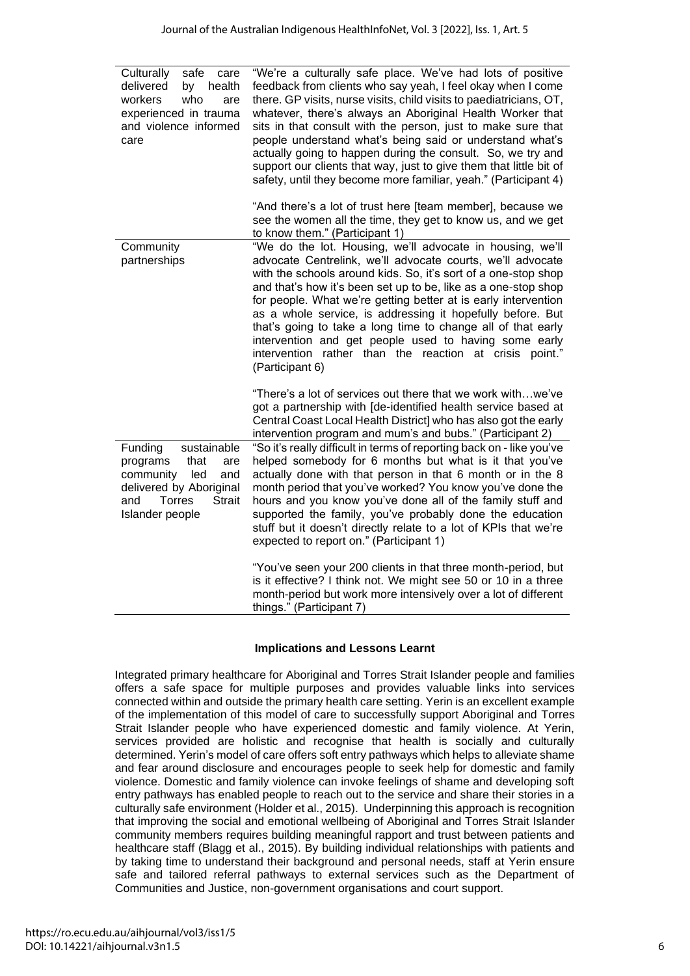| Culturally<br>safe<br>care<br>delivered<br>health<br>by<br>workers<br>who<br>are<br>experienced in trauma<br>and violence informed<br>care                   | "We're a culturally safe place. We've had lots of positive<br>feedback from clients who say yeah, I feel okay when I come<br>there. GP visits, nurse visits, child visits to paediatricians, OT,<br>whatever, there's always an Aboriginal Health Worker that<br>sits in that consult with the person, just to make sure that<br>people understand what's being said or understand what's<br>actually going to happen during the consult. So, we try and<br>support our clients that way, just to give them that little bit of<br>safety, until they become more familiar, yeah." (Participant 4)<br>"And there's a lot of trust here [team member], because we<br>see the women all the time, they get to know us, and we get |
|--------------------------------------------------------------------------------------------------------------------------------------------------------------|--------------------------------------------------------------------------------------------------------------------------------------------------------------------------------------------------------------------------------------------------------------------------------------------------------------------------------------------------------------------------------------------------------------------------------------------------------------------------------------------------------------------------------------------------------------------------------------------------------------------------------------------------------------------------------------------------------------------------------|
|                                                                                                                                                              | to know them." (Participant 1)                                                                                                                                                                                                                                                                                                                                                                                                                                                                                                                                                                                                                                                                                                 |
| Community<br>partnerships                                                                                                                                    | "We do the lot. Housing, we'll advocate in housing, we'll<br>advocate Centrelink, we'll advocate courts, we'll advocate<br>with the schools around kids. So, it's sort of a one-stop shop<br>and that's how it's been set up to be, like as a one-stop shop<br>for people. What we're getting better at is early intervention<br>as a whole service, is addressing it hopefully before. But<br>that's going to take a long time to change all of that early<br>intervention and get people used to having some early<br>intervention rather than the reaction at crisis point."<br>(Participant 6)                                                                                                                             |
|                                                                                                                                                              | "There's a lot of services out there that we work withwe've<br>got a partnership with [de-identified health service based at<br>Central Coast Local Health District] who has also got the early<br>intervention program and mum's and bubs." (Participant 2)                                                                                                                                                                                                                                                                                                                                                                                                                                                                   |
| Funding<br>sustainable<br>programs<br>that<br>are<br>community<br>led<br>and<br>delivered by Aboriginal<br>Torres<br><b>Strait</b><br>and<br>Islander people | "So it's really difficult in terms of reporting back on - like you've<br>helped somebody for 6 months but what is it that you've<br>actually done with that person in that 6 month or in the 8<br>month period that you've worked? You know you've done the<br>hours and you know you've done all of the family stuff and<br>supported the family, you've probably done the education<br>stuff but it doesn't directly relate to a lot of KPIs that we're<br>expected to report on." (Participant 1)                                                                                                                                                                                                                           |
|                                                                                                                                                              | "You've seen your 200 clients in that three month-period, but<br>is it effective? I think not. We might see 50 or 10 in a three<br>month-period but work more intensively over a lot of different<br>things." (Participant 7)                                                                                                                                                                                                                                                                                                                                                                                                                                                                                                  |

## **Implications and Lessons Learnt**

Integrated primary healthcare for Aboriginal and Torres Strait Islander people and families offers a safe space for multiple purposes and provides valuable links into services connected within and outside the primary health care setting. Yerin is an excellent example of the implementation of this model of care to successfully support Aboriginal and Torres Strait Islander people who have experienced domestic and family violence. At Yerin, services provided are holistic and recognise that health is socially and culturally determined. Yerin's model of care offers soft entry pathways which helps to alleviate shame and fear around disclosure and encourages people to seek help for domestic and family violence. Domestic and family violence can invoke feelings of shame and developing soft entry pathways has enabled people to reach out to the service and share their stories in a culturally safe environment (Holder et al., 2015). Underpinning this approach is recognition that improving the social and emotional wellbeing of Aboriginal and Torres Strait Islander community members requires building meaningful rapport and trust between patients and healthcare staff (Blagg et al., 2015). By building individual relationships with patients and by taking time to understand their background and personal needs, staff at Yerin ensure safe and tailored referral pathways to external services such as the Department of Communities and Justice, non-government organisations and court support.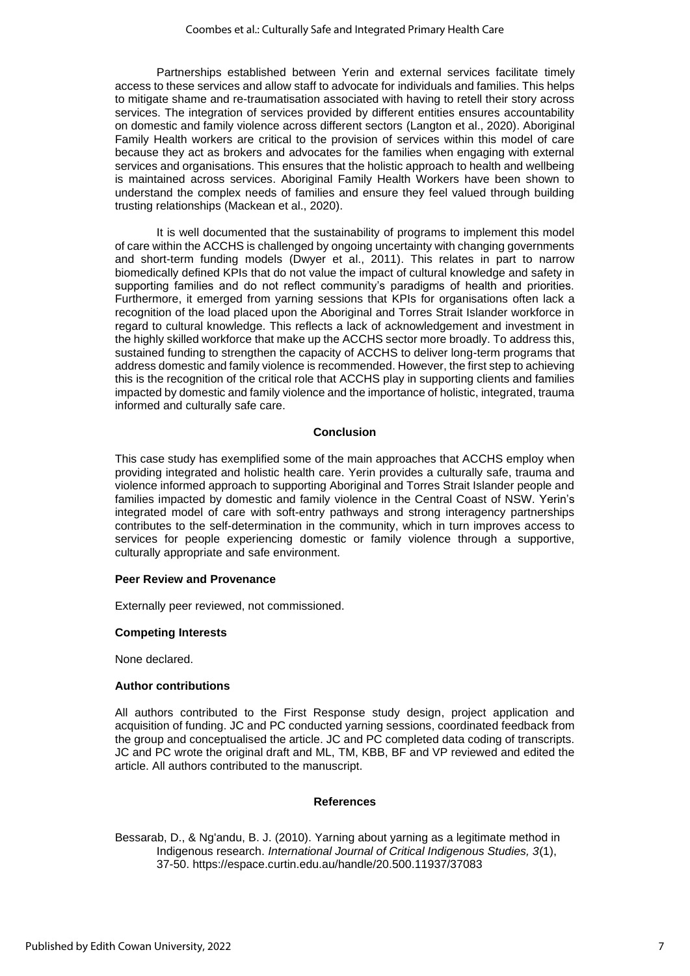Partnerships established between Yerin and external services facilitate timely access to these services and allow staff to advocate for individuals and families. This helps to mitigate shame and re-traumatisation associated with having to retell their story across services. The integration of services provided by different entities ensures accountability on domestic and family violence across different sectors (Langton et al., 2020). Aboriginal Family Health workers are critical to the provision of services within this model of care because they act as brokers and advocates for the families when engaging with external services and organisations. This ensures that the holistic approach to health and wellbeing is maintained across services. Aboriginal Family Health Workers have been shown to understand the complex needs of families and ensure they feel valued through building trusting relationships (Mackean et al., 2020).

It is well documented that the sustainability of programs to implement this model of care within the ACCHS is challenged by ongoing uncertainty with changing governments and short-term funding models (Dwyer et al., 2011). This relates in part to narrow biomedically defined KPIs that do not value the impact of cultural knowledge and safety in supporting families and do not reflect community's paradigms of health and priorities. Furthermore, it emerged from yarning sessions that KPIs for organisations often lack a recognition of the load placed upon the Aboriginal and Torres Strait Islander workforce in regard to cultural knowledge. This reflects a lack of acknowledgement and investment in the highly skilled workforce that make up the ACCHS sector more broadly. To address this, sustained funding to strengthen the capacity of ACCHS to deliver long-term programs that address domestic and family violence is recommended. However, the first step to achieving this is the recognition of the critical role that ACCHS play in supporting clients and families impacted by domestic and family violence and the importance of holistic, integrated, trauma informed and culturally safe care.

#### **Conclusion**

This case study has exemplified some of the main approaches that ACCHS employ when providing integrated and holistic health care. Yerin provides a culturally safe, trauma and violence informed approach to supporting Aboriginal and Torres Strait Islander people and families impacted by domestic and family violence in the Central Coast of NSW. Yerin's integrated model of care with soft-entry pathways and strong interagency partnerships contributes to the self-determination in the community, which in turn improves access to services for people experiencing domestic or family violence through a supportive, culturally appropriate and safe environment.

#### **Peer Review and Provenance**

Externally peer reviewed, not commissioned.

#### **Competing Interests**

None declared.

#### **Author contributions**

All authors contributed to the First Response study design, project application and acquisition of funding. JC and PC conducted yarning sessions, coordinated feedback from the group and conceptualised the article. JC and PC completed data coding of transcripts. JC and PC wrote the original draft and ML, TM, KBB, BF and VP reviewed and edited the article. All authors contributed to the manuscript.

#### **References**

Bessarab, D., & Ng'andu, B. J. (2010). Yarning about yarning as a legitimate method in Indigenous research. *International Journal of Critical Indigenous Studies, 3*(1), 37-50. https://espace.curtin.edu.au/handle/20.500.11937/37083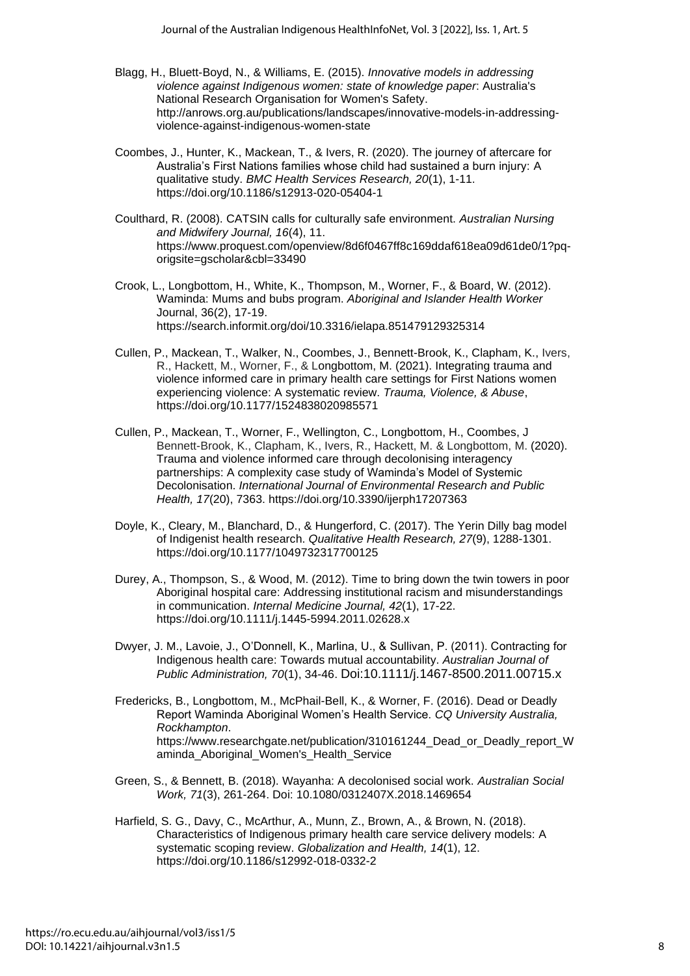- Blagg, H., Bluett-Boyd, N., & Williams, E. (2015). *Innovative models in addressing violence against Indigenous women: state of knowledge paper*: Australia's National Research Organisation for Women's Safety. http://anrows.org.au/publications/landscapes/innovative-models-in-addressingviolence-against-indigenous-women-state
- Coombes, J., Hunter, K., Mackean, T., & Ivers, R. (2020). The journey of aftercare for Australia's First Nations families whose child had sustained a burn injury: A qualitative study. *BMC Health Services Research, 20*(1), 1-11. https://doi.org/10.1186/s12913-020-05404-1
- Coulthard, R. (2008). CATSIN calls for culturally safe environment. *Australian Nursing and Midwifery Journal, 16*(4), 11. https://www.proquest.com/openview/8d6f0467ff8c169ddaf618ea09d61de0/1?pqorigsite=gscholar&cbl=33490
- Crook, L., Longbottom, H., White, K., Thompson, M., Worner, F., & Board, W. (2012). Waminda: Mums and bubs program. *Aboriginal and Islander Health Worker*  Journal, 36(2), 17-19. https://search.informit.org/doi/10.3316/ielapa.851479129325314
- Cullen, P., Mackean, T., Walker, N., Coombes, J., Bennett-Brook, K., Clapham, K., Ivers, R., Hackett, M., Worner, F., & Longbottom, M. (2021). Integrating trauma and violence informed care in primary health care settings for First Nations women experiencing violence: A systematic review. *Trauma, Violence, & Abuse*, https://doi.org/10.1177/1524838020985571
- Cullen, P., Mackean, T., Worner, F., Wellington, C., Longbottom, H., Coombes, J Bennett-Brook, K., Clapham, K., Ivers, R., Hackett, M. & Longbottom, M. (2020). Trauma and violence informed care through decolonising interagency partnerships: A complexity case study of Waminda's Model of Systemic Decolonisation. *International Journal of Environmental Research and Public Health, 17*(20), 7363. https://doi.org/10.3390/ijerph17207363
- Doyle, K., Cleary, M., Blanchard, D., & Hungerford, C. (2017). The Yerin Dilly bag model of Indigenist health research. *Qualitative Health Research, 27*(9), 1288-1301. https://doi.org/10.1177/1049732317700125
- Durey, A., Thompson, S., & Wood, M. (2012). Time to bring down the twin towers in poor Aboriginal hospital care: Addressing institutional racism and misunderstandings in communication. *Internal Medicine Journal, 42*(1), 17-22. https://doi.org/10.1111/j.1445-5994.2011.02628.x
- Dwyer, J. M., Lavoie, J., O'Donnell, K., Marlina, U., & Sullivan, P. (2011). Contracting for Indigenous health care: Towards mutual accountability. *Australian Journal of Public Administration, 70*(1), 34-46. Doi:10.1111/j.1467-8500.2011.00715.x
- Fredericks, B., Longbottom, M., McPhail-Bell, K., & Worner, F. (2016). Dead or Deadly Report Waminda Aboriginal Women's Health Service. *CQ University Australia, Rockhampton*. https://www.researchgate.net/publication/310161244\_Dead\_or\_Deadly\_report\_W aminda\_Aboriginal\_Women's\_Health\_Service
- Green, S., & Bennett, B. (2018). Wayanha: A decolonised social work. *Australian Social Work, 71*(3), 261-264. Doi: [10.1080/0312407X.2018.1469654](https://doi.org/10.1080/0312407X.2018.1469654)
- Harfield, S. G., Davy, C., McArthur, A., Munn, Z., Brown, A., & Brown, N. (2018). Characteristics of Indigenous primary health care service delivery models: A systematic scoping review. *Globalization and Health, 14*(1), 12. https://doi.org/10.1186/s12992-018-0332-2